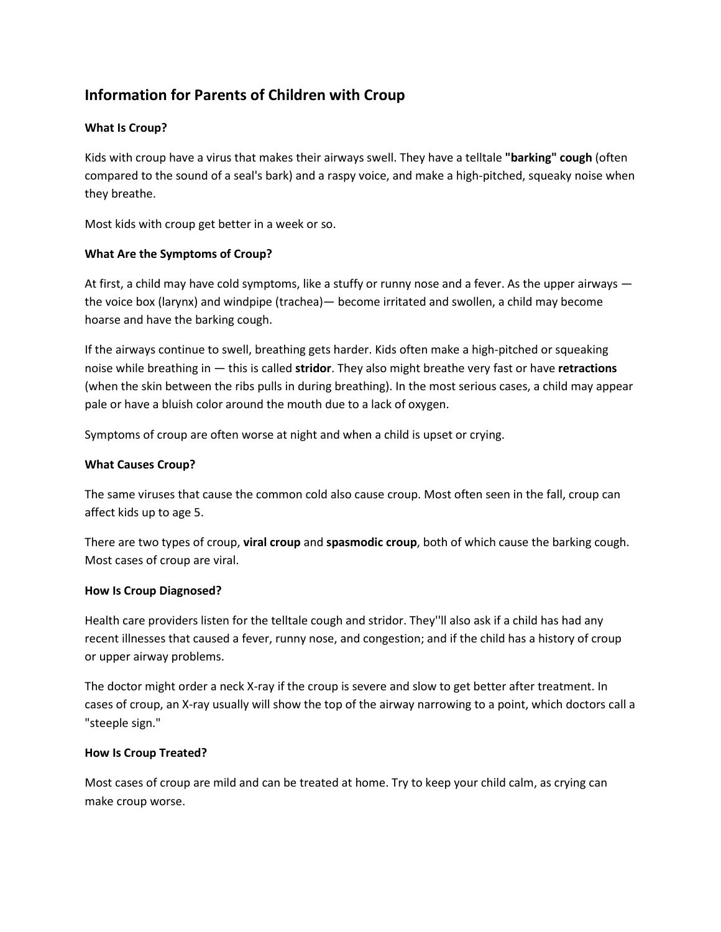# **Information for Parents of Children with Croup**

# **What Is Croup?**

Kids with croup have a virus that makes their airways swell. They have a telltale **"barking" cough** (often compared to the sound of a seal's bark) and a raspy voice, and make a high-pitched, squeaky noise when they breathe.

Most kids with croup get better in a week or so.

## **What Are the Symptoms of Croup?**

At first, a child may have cold symptoms, like a stuffy or runny nose and a fever. As the upper airways the voice box (larynx) and windpipe (trachea)— become irritated and swollen, a child may become hoarse and have the barking cough.

If the airways continue to swell, breathing gets harder. Kids often make a high-pitched or squeaking noise while breathing in — this is called **stridor**. They also might breathe very fast or have **retractions** (when the skin between the ribs pulls in during breathing). In the most serious cases, a child may appear pale or have a bluish color around the mouth due to a lack of oxygen.

Symptoms of croup are often worse at night and when a child is upset or crying.

#### **What Causes Croup?**

The same viruses that cause the common cold also cause croup. Most often seen in the fall, croup can affect kids up to age 5.

There are two types of croup, **viral croup** and **spasmodic croup**, both of which cause the barking cough. Most cases of croup are viral.

#### **How Is Croup Diagnosed?**

Health care providers listen for the telltale cough and stridor. They''ll also ask if a child has had any recent illnesses that caused a fever, runny nose, and congestion; and if the child has a history of croup or upper airway problems.

The doctor might order a neck X-ray if the croup is severe and slow to get better after treatment. In cases of croup, an X-ray usually will show the top of the airway narrowing to a point, which doctors call a "steeple sign."

#### **How Is Croup Treated?**

Most cases of croup are mild and can be treated at home. Try to keep your child calm, as crying can make croup worse.